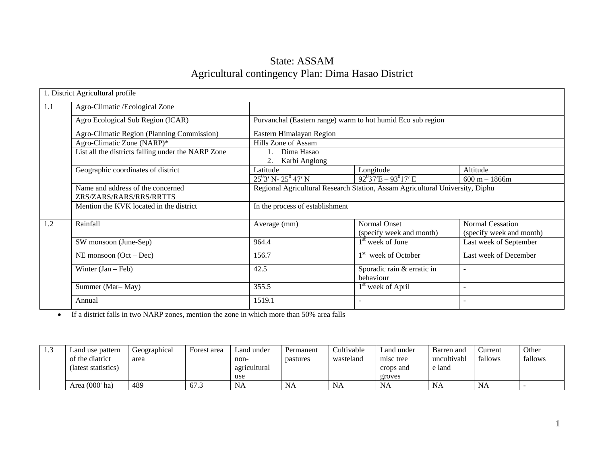## State: ASSAM Agricultural contingency Plan: Dima Hasao District

|     | 1. District Agricultural profile                             |                                                             |                                                                              |                                                     |  |  |  |  |
|-----|--------------------------------------------------------------|-------------------------------------------------------------|------------------------------------------------------------------------------|-----------------------------------------------------|--|--|--|--|
| 1.1 | Agro-Climatic /Ecological Zone                               |                                                             |                                                                              |                                                     |  |  |  |  |
|     | Agro Ecological Sub Region (ICAR)                            | Purvanchal (Eastern range) warm to hot humid Eco sub region |                                                                              |                                                     |  |  |  |  |
|     | Agro-Climatic Region (Planning Commission)                   | Eastern Himalayan Region                                    |                                                                              |                                                     |  |  |  |  |
|     | Agro-Climatic Zone (NARP)*                                   | Hills Zone of Assam                                         |                                                                              |                                                     |  |  |  |  |
|     | List all the districts falling under the NARP Zone           | Dima Hasao<br>2.<br>Karbi Anglong                           |                                                                              |                                                     |  |  |  |  |
|     | Geographic coordinates of district                           | Latitude                                                    | Longitude                                                                    | Altitude                                            |  |  |  |  |
|     |                                                              | $25^0$ 3' N- $25^0$ 47' N                                   | $92^{0}37'E - 93^{0}17'E$                                                    | $600 m - 1866m$                                     |  |  |  |  |
|     | Name and address of the concerned<br>ZRS/ZARS/RARS/RRS/RRTTS |                                                             | Regional Agricultural Research Station, Assam Agricultural University, Diphu |                                                     |  |  |  |  |
|     | Mention the KVK located in the district                      | In the process of establishment                             |                                                                              |                                                     |  |  |  |  |
| 1.2 | Rainfall                                                     | Average (mm)                                                | Normal Onset<br>(specify week and month)                                     | <b>Normal Cessation</b><br>(specify week and month) |  |  |  |  |
|     | SW monsoon (June-Sep)                                        | 964.4                                                       | 1 <sup>st</sup> week of June                                                 | Last week of September                              |  |  |  |  |
|     | NE monsoon $(Oct - Dec)$                                     | 156.7                                                       | 1 <sup>st</sup> week of October                                              | Last week of December                               |  |  |  |  |
|     | Winter $(Jan - Feb)$                                         | 42.5                                                        | Sporadic rain & erratic in<br>behaviour                                      | $\overline{\phantom{a}}$                            |  |  |  |  |
|     | Summer (Mar-May)                                             | 355.5                                                       | 1 <sup>st</sup> week of April                                                | $\overline{\phantom{a}}$                            |  |  |  |  |
|     | Annual                                                       | 1519.1                                                      |                                                                              |                                                     |  |  |  |  |

• If a district falls in two NARP zones, mention the zone in which more than 50% area falls

| 1.3 | Land use pattern<br>of the diatrict<br>(latest statistics) | Geographical<br>area | Forest area | Land under<br>non-<br>agricultural<br>use | Permanent<br>pastures | Cultivable<br>wasteland | Land under<br>misc tree<br>crops and<br>groves | Barren and<br>uncultivabl<br>e land | Current<br>fallows | Other<br>fallows |
|-----|------------------------------------------------------------|----------------------|-------------|-------------------------------------------|-----------------------|-------------------------|------------------------------------------------|-------------------------------------|--------------------|------------------|
|     | Area (000' ha)                                             | 489                  | 67.3        | <b>NA</b>                                 | <b>NA</b>             | <b>NA</b>               | <b>NA</b>                                      | <b>NA</b>                           | <b>NA</b>          |                  |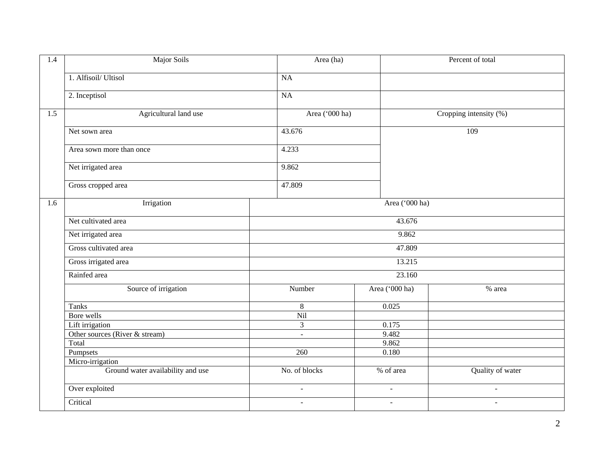| 1.4 | Major Soils                       | Area (ha)      |                          | Percent of total          |  |  |
|-----|-----------------------------------|----------------|--------------------------|---------------------------|--|--|
|     | 1. Alfisoil/ Ultisol              | NA             |                          |                           |  |  |
|     | 2. Inceptisol                     | NA             |                          |                           |  |  |
| 1.5 | Agricultural land use             | Area ('000 ha) |                          | Cropping intensity $(\%)$ |  |  |
|     | Net sown area                     | 43.676         |                          | 109                       |  |  |
|     | Area sown more than once          | 4.233          |                          |                           |  |  |
|     | Net irrigated area                | 9.862          |                          |                           |  |  |
|     | Gross cropped area                | 47.809         |                          |                           |  |  |
| 1.6 | Irrigation                        |                | Area ('000 ha)           |                           |  |  |
|     | Net cultivated area               |                | 43.676                   |                           |  |  |
|     | Net irrigated area                |                | 9.862                    |                           |  |  |
|     | Gross cultivated area             |                | 47.809                   |                           |  |  |
|     | Gross irrigated area              |                | 13.215                   |                           |  |  |
|     | Rainfed area                      |                | 23.160                   |                           |  |  |
|     | Source of irrigation              | Number         | Area ('000 ha)           | % area                    |  |  |
|     | <b>Tanks</b>                      | $8\,$          | 0.025                    |                           |  |  |
|     | Bore wells                        | Nil            |                          |                           |  |  |
|     | Lift irrigation                   | $\overline{3}$ | 0.175                    |                           |  |  |
|     | Other sources (River & stream)    | $\blacksquare$ | 9.482                    |                           |  |  |
|     | Total                             |                | 9.862                    |                           |  |  |
|     | Pumpsets                          | 260            | 0.180                    |                           |  |  |
|     | Micro-irrigation                  |                |                          |                           |  |  |
|     | Ground water availability and use | No. of blocks  | % of area                | Quality of water          |  |  |
|     | Over exploited                    | $\blacksquare$ | $\blacksquare$           | $\blacksquare$            |  |  |
|     | Critical                          | $\blacksquare$ | $\overline{\phantom{a}}$ | $\blacksquare$            |  |  |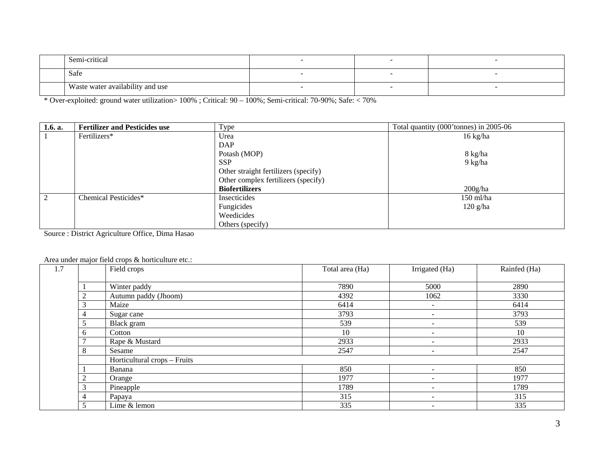| .<br>Semi-critical               |  |  |
|----------------------------------|--|--|
| Safe                             |  |  |
| Waste water availability and use |  |  |

\* Over-exploited: ground water utilization> 100% ; Critical: 90 – 100%; Semi-critical: 70-90%; Safe: < 70%

| 1.6. a. | <b>Fertilizer and Pesticides use</b> | Type                                 | Total quantity (000' tonnes) in 2005-06 |
|---------|--------------------------------------|--------------------------------------|-----------------------------------------|
|         | Fertilizers*                         | Urea                                 | $16 \text{ kg/ha}$                      |
|         |                                      | <b>DAP</b>                           |                                         |
|         |                                      | Potash (MOP)                         | 8 kg/ha                                 |
|         |                                      | <b>SSP</b>                           | $9 \text{ kg/ha}$                       |
|         |                                      | Other straight fertilizers (specify) |                                         |
|         |                                      | Other complex fertilizers (specify)  |                                         |
|         |                                      | <b>Biofertilizers</b>                | 200g/ha                                 |
| 2       | Chemical Pesticides*                 | Insecticides                         | 150 ml/ha                               |
|         |                                      | Fungicides                           | $120$ g/ha                              |
|         |                                      | Weedicides                           |                                         |
|         |                                      | Others (specify)                     |                                         |

Source : District Agriculture Office, Dima Hasao

## Area under major field crops & horticulture etc.:

| 1.7 |                | Field crops                  | Total area (Ha) | Irrigated (Ha)           | Rainfed (Ha) |
|-----|----------------|------------------------------|-----------------|--------------------------|--------------|
|     |                | Winter paddy                 | 7890            | 5000                     | 2890         |
|     | ◠              | Autumn paddy (Jhoom)         | 4392            | 1062                     | 3330         |
|     | 3              | Maize                        | 6414            |                          | 6414         |
|     | 4              | Sugar cane                   | 3793            |                          | 3793         |
|     |                | Black gram                   | 539             | $\overline{\phantom{a}}$ | 539          |
|     | 6              | Cotton                       | 10              |                          | 10           |
|     |                | Rape & Mustard               | 2933            |                          | 2933         |
|     | 8              | Sesame                       | 2547            |                          | 2547         |
|     |                | Horticultural crops - Fruits |                 |                          |              |
|     |                | Banana                       | 850             |                          | 850          |
|     | $\overline{c}$ | Orange                       | 1977            | $\overline{\phantom{a}}$ | 1977         |
|     | 3              | Pineapple                    | 1789            | $\overline{\phantom{a}}$ | 1789         |
|     | 4              | Papaya                       | 315             |                          | 315          |
|     | 5              | Lime & lemon                 | 335             | $\overline{\phantom{0}}$ | 335          |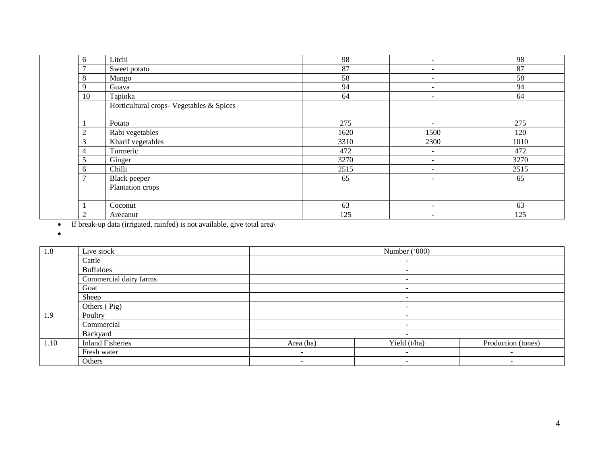| 6              | Litchi                                   | 98   | $\overline{\phantom{a}}$     | 98   |
|----------------|------------------------------------------|------|------------------------------|------|
| $\overline{ }$ | Sweet potato                             | 87   | $\qquad \qquad \blacksquare$ | 87   |
| 8              | Mango                                    | 58   | $\overline{\phantom{a}}$     | 58   |
| 9              | Guava                                    | 94   | $\qquad \qquad \blacksquare$ | 94   |
| 10             | Tapioka                                  | 64   | $\overline{\phantom{a}}$     | 64   |
|                | Horticultural crops- Vegetables & Spices |      |                              |      |
|                | Potato                                   | 275  | $\overline{\phantom{a}}$     | 275  |
| $\overline{2}$ | Rabi vegetables                          | 1620 | 1500                         | 120  |
| 3              | Kharif vegetables                        | 3310 | 2300                         | 1010 |
| 4              | Turmeric                                 | 472  | $\overline{\phantom{a}}$     | 472  |
| 5              | Ginger                                   | 3270 | $\overline{\phantom{a}}$     | 3270 |
| 6              | Chilli                                   | 2515 | $\overline{\phantom{a}}$     | 2515 |
| $\overline{ }$ | Black peeper                             | 65   | $\overline{\phantom{a}}$     | 65   |
|                | Plantation crops                         |      |                              |      |
|                | Coconut                                  | 63   | $\qquad \qquad \blacksquare$ | 63   |
| $\overline{2}$ | Arecanut                                 | 125  | $\qquad \qquad \blacksquare$ | 125  |

• If break-up data (irrigated, rainfed) is not available, give total area\

•

| 1.8  | Live stock              | Number ('000)            |                          |                          |  |  |  |  |
|------|-------------------------|--------------------------|--------------------------|--------------------------|--|--|--|--|
|      | Cattle                  | $\overline{\phantom{a}}$ |                          |                          |  |  |  |  |
|      | <b>Buffaloes</b>        | $\overline{\phantom{0}}$ |                          |                          |  |  |  |  |
|      | Commercial dairy farms  |                          | $\overline{\phantom{a}}$ |                          |  |  |  |  |
|      | Goat                    | $\overline{\phantom{a}}$ |                          |                          |  |  |  |  |
|      | Sheep                   | $\overline{\phantom{0}}$ |                          |                          |  |  |  |  |
|      | Others (Pig)            | $\overline{\phantom{0}}$ |                          |                          |  |  |  |  |
| 1.9  | Poultry                 |                          | $\overline{\phantom{0}}$ |                          |  |  |  |  |
|      | Commercial              |                          | -                        |                          |  |  |  |  |
|      | Backyard                |                          | $\overline{\phantom{a}}$ |                          |  |  |  |  |
| 1.10 | <b>Inland Fisheries</b> | Area (ha)                | Yield (t/ha)             | Production (tones)       |  |  |  |  |
|      | Fresh water             | $\overline{\phantom{0}}$ | $\overline{\phantom{a}}$ | $\overline{\phantom{a}}$ |  |  |  |  |
|      | Others                  | $\overline{\phantom{0}}$ | $\overline{\phantom{a}}$ | $\overline{\phantom{a}}$ |  |  |  |  |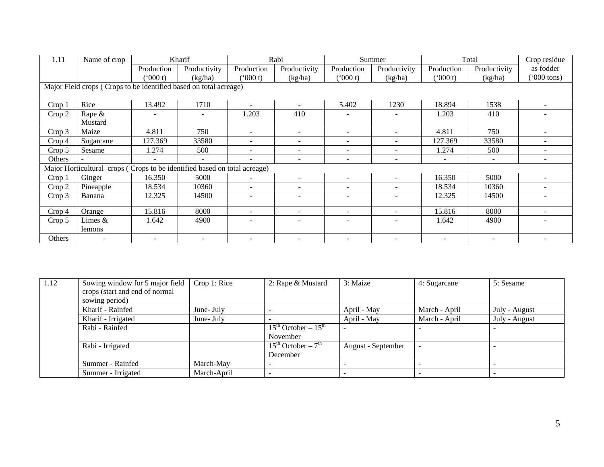| 1.11              | Name of crop                                                              |            | Kharif                   |                          | Rabi                     |                          | Summer                       |            | Total        | Crop residue             |
|-------------------|---------------------------------------------------------------------------|------------|--------------------------|--------------------------|--------------------------|--------------------------|------------------------------|------------|--------------|--------------------------|
|                   |                                                                           | Production | Productivity             | Production               | Productivity             | Production               | Productivity                 | Production | Productivity | as fodder                |
|                   |                                                                           | $000$ t)   | (kg/ha)                  | $000$ t)                 | (kg/ha)                  | (000 t)                  | (kg/ha)                      | (000 t)    | (kg/ha)      | $(000 \text{ tons})$     |
|                   | Major Field crops (Crops to be identified based on total acreage)         |            |                          |                          |                          |                          |                              |            |              |                          |
| Crop 1            | Rice                                                                      | 13.492     | 1710                     | $\overline{\phantom{0}}$ | ۰                        | 5.402                    | 1230                         | 18.894     | 1538         |                          |
| Crop 2            | Rape &                                                                    |            |                          | 1.203                    | 410                      |                          |                              | 1.203      | 410          |                          |
|                   | Mustard                                                                   |            |                          |                          |                          |                          |                              |            |              |                          |
| Crop 3            | Maize                                                                     | 4.811      | 750                      | $\overline{\phantom{a}}$ | $\overline{\phantom{a}}$ | $\overline{\phantom{a}}$ | $\overline{\phantom{a}}$     | 4.811      | 750          | $\overline{\phantom{0}}$ |
| Crop 4            | Sugarcane                                                                 | 127.369    | 33580                    |                          | $\overline{\phantom{a}}$ |                          | $\overline{\phantom{0}}$     | 127.369    | 33580        |                          |
| Crop 5            | Sesame                                                                    | 1.274      | 500                      | $\overline{\phantom{0}}$ | $\overline{\phantom{a}}$ | $\overline{\phantom{a}}$ | $\overline{\phantom{a}}$     | 1.274      | 500          | $\overline{\phantom{0}}$ |
| Others            |                                                                           | ٠          | $\overline{\phantom{0}}$ |                          | ۰                        |                          | $\qquad \qquad \blacksquare$ |            | $\sim$       | $\overline{\phantom{0}}$ |
|                   | Major Horticultural crops (Crops to be identified based on total acreage) |            |                          |                          |                          |                          |                              |            |              |                          |
| Crop 1            | Ginger                                                                    | 16.350     | 5000                     |                          | $\overline{\phantom{a}}$ |                          |                              | 16.350     | 5000         |                          |
| Crop 2            | Pineapple                                                                 | 18.534     | 10360                    | $\blacksquare$           | $\overline{\phantom{a}}$ | $\overline{\phantom{a}}$ | $\overline{\phantom{a}}$     | 18.534     | 10360        |                          |
| Crop 3            | Banana                                                                    | 12.325     | 14500                    |                          | ۰                        |                          |                              | 12.325     | 14500        |                          |
| Crop <sub>4</sub> | Orange                                                                    | 15.816     | 8000                     | $\overline{\phantom{a}}$ | $\overline{\phantom{a}}$ | $\overline{\phantom{a}}$ | $\overline{\phantom{0}}$     | 15.816     | 8000         |                          |
| Crop 5            | Limes $\&$                                                                | 1.642      | 4900                     |                          | $\overline{\phantom{a}}$ | $\overline{\phantom{a}}$ |                              | 1.642      | 4900         |                          |
|                   | lemons                                                                    |            |                          |                          |                          |                          |                              |            |              |                          |
| Others            |                                                                           |            |                          |                          |                          |                          |                              |            |              |                          |

| 1.12 | Sowing window for 5 major field | Crop 1: Rice | 2: Rape & Mustard                       | 3: Maize           | 4: Sugarcane  | 5: Sesame     |
|------|---------------------------------|--------------|-----------------------------------------|--------------------|---------------|---------------|
|      | crops (start and end of normal  |              |                                         |                    |               |               |
|      | sowing period)                  |              |                                         |                    |               |               |
|      | Kharif - Rainfed                | June- July   |                                         | April - May        | March - April | July - August |
|      | Kharif - Irrigated              | June- July   |                                         | April - May        | March - April | July - August |
|      | Rabi - Rainfed                  |              | $15^{th}$ October $-\overline{15^{th}}$ |                    |               |               |
|      |                                 |              | November                                |                    |               |               |
|      | Rabi - Irrigated                |              | $15^{th}$ October – $7^{th}$            | August - September |               |               |
|      |                                 |              | December                                |                    |               |               |
|      | Summer - Rainfed                | March-May    |                                         |                    |               |               |
|      | Summer - Irrigated              | March-April  |                                         |                    |               |               |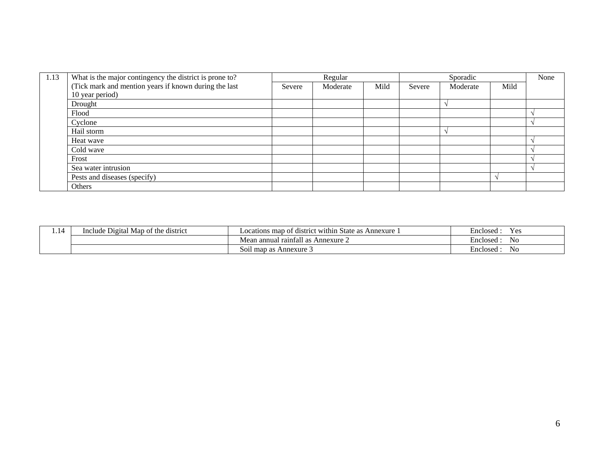| 1.13 | What is the major contingency the district is prone to? |        | Regular  |      | Sporadic |          |      | None |
|------|---------------------------------------------------------|--------|----------|------|----------|----------|------|------|
|      | (Tick mark and mention years if known during the last   | Severe | Moderate | Mild | Severe   | Moderate | Mild |      |
|      | 10 year period)                                         |        |          |      |          |          |      |      |
|      | Drought                                                 |        |          |      |          |          |      |      |
|      | Flood                                                   |        |          |      |          |          |      |      |
|      | Cyclone                                                 |        |          |      |          |          |      |      |
|      | Hail storm                                              |        |          |      |          |          |      |      |
|      | Heat wave                                               |        |          |      |          |          |      |      |
|      | Cold wave                                               |        |          |      |          |          |      |      |
|      | Frost                                                   |        |          |      |          |          |      |      |
|      | Sea water intrusion                                     |        |          |      |          |          |      |      |
|      | Pests and diseases (specify)                            |        |          |      |          |          |      |      |
|      | Others                                                  |        |          |      |          |          |      |      |

| . | Include Digital Map of the district | : within<br>Annexure<br>. State<br>Locations map<br>t district<br>$\alpha$<br>$\sim$<br>- as-<br>$\mathbf{u}$ | Y es<br>Enclosed         |
|---|-------------------------------------|---------------------------------------------------------------------------------------------------------------|--------------------------|
|   |                                     | . .<br>i annual raintall<br>$\hat{ }$ Annexure $\hat{ }$<br>$ -$<br>-as<br>vicali                             | $\sim$<br>Enclosed<br>No |
|   |                                     | Annexure J<br>map<br><b>SO11</b><br>as                                                                        |                          |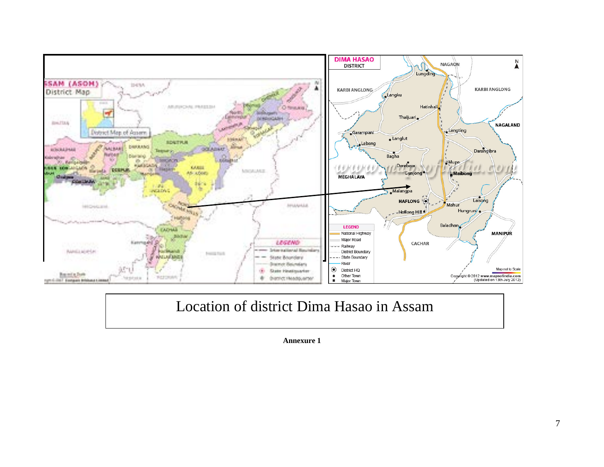

# Location of district Dima Hasao in Assam

**Annexure 1**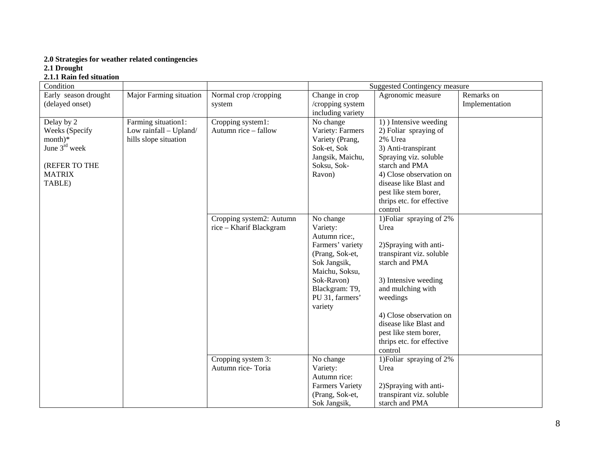#### **2.0 Strategies for weather related contingencies**

**2.1 Drought**

#### **2.1.1 Rain fed situation**

| Condition                                                                                                |                                                                        |                                                                       | <b>Suggested Contingency measure</b>                                                                                                                             |                                                                                                                                                                                                                                                                              |                              |  |
|----------------------------------------------------------------------------------------------------------|------------------------------------------------------------------------|-----------------------------------------------------------------------|------------------------------------------------------------------------------------------------------------------------------------------------------------------|------------------------------------------------------------------------------------------------------------------------------------------------------------------------------------------------------------------------------------------------------------------------------|------------------------------|--|
| Early season drought<br>(delayed onset)                                                                  | Major Farming situation                                                | Normal crop/cropping<br>system                                        | Change in crop<br>/cropping system<br>including variety                                                                                                          | Agronomic measure                                                                                                                                                                                                                                                            | Remarks on<br>Implementation |  |
| Delay by 2<br>Weeks (Specify<br>$month)*$<br>June $3rd$ week<br>(REFER TO THE<br><b>MATRIX</b><br>TABLE) | Farming situation1:<br>Low rainfall - Upland/<br>hills slope situation | Cropping system1:<br>Autumn rice - fallow<br>Cropping system2: Autumn | No change<br>Variety: Farmers<br>Variety (Prang,<br>Sok-et, Sok<br>Jangsik, Maichu,<br>Soksu, Sok-<br>Ravon)<br>No change                                        | 1) Intensive weeding<br>2) Foliar spraying of<br>2% Urea<br>3) Anti-transpirant<br>Spraying viz. soluble<br>starch and PMA<br>4) Close observation on<br>disease like Blast and<br>pest like stem borer,<br>thrips etc. for effective<br>control<br>1) Foliar spraying of 2% |                              |  |
|                                                                                                          |                                                                        | rice - Kharif Blackgram                                               | Variety:<br>Autumn rice:,<br>Farmers' variety<br>(Prang, Sok-et,<br>Sok Jangsik,<br>Maichu, Soksu,<br>Sok-Ravon)<br>Blackgram: T9,<br>PU 31, farmers'<br>variety | Urea<br>2) Spraying with anti-<br>transpirant viz. soluble<br>starch and PMA<br>3) Intensive weeding<br>and mulching with<br>weedings<br>4) Close observation on<br>disease like Blast and<br>pest like stem borer,<br>thrips etc. for effective<br>control                  |                              |  |
|                                                                                                          |                                                                        | Cropping system 3:<br>Autumn rice-Toria                               | No change<br>Variety:<br>Autumn rice:<br><b>Farmers Variety</b><br>(Prang, Sok-et,<br>Sok Jangsik,                                                               | 1) Foliar spraying of 2%<br>Urea<br>2) Spraying with anti-<br>transpirant viz. soluble<br>starch and PMA                                                                                                                                                                     |                              |  |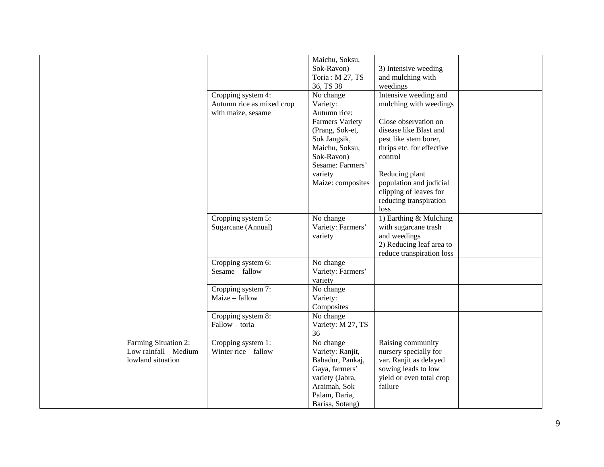|                                               |                                            | Maichu, Soksu,<br>Sok-Ravon)<br>Toria: M 27, TS | 3) Intensive weeding<br>and mulching with             |  |
|-----------------------------------------------|--------------------------------------------|-------------------------------------------------|-------------------------------------------------------|--|
|                                               |                                            | 36, TS 38                                       | weedings                                              |  |
|                                               | Cropping system 4:                         | No change                                       | Intensive weeding and                                 |  |
|                                               | Autumn rice as mixed crop                  | Variety:                                        | mulching with weedings                                |  |
|                                               | with maize, sesame                         | Autumn rice:                                    |                                                       |  |
|                                               |                                            | <b>Farmers Variety</b>                          | Close observation on                                  |  |
|                                               |                                            | (Prang, Sok-et,                                 | disease like Blast and                                |  |
|                                               |                                            | Sok Jangsik,                                    | pest like stem borer,                                 |  |
|                                               |                                            | Maichu, Soksu,<br>Sok-Ravon)                    | thrips etc. for effective<br>control                  |  |
|                                               |                                            | Sesame: Farmers'                                |                                                       |  |
|                                               |                                            | variety                                         | Reducing plant                                        |  |
|                                               |                                            | Maize: composites                               | population and judicial                               |  |
|                                               |                                            |                                                 | clipping of leaves for                                |  |
|                                               |                                            |                                                 | reducing transpiration                                |  |
|                                               |                                            |                                                 | loss                                                  |  |
|                                               | Cropping system 5:                         | No change                                       | 1) Earthing & Mulching                                |  |
|                                               | Sugarcane (Annual)                         | Variety: Farmers'                               | with sugarcane trash                                  |  |
|                                               |                                            | variety                                         | and weedings                                          |  |
|                                               |                                            |                                                 | 2) Reducing leaf area to<br>reduce transpiration loss |  |
|                                               | Cropping system 6:                         | No change                                       |                                                       |  |
|                                               | Sesame - fallow                            | Variety: Farmers'                               |                                                       |  |
|                                               |                                            | variety                                         |                                                       |  |
|                                               | Cropping system 7:                         | No change                                       |                                                       |  |
|                                               | Maize - fallow                             | Variety:                                        |                                                       |  |
|                                               |                                            | Composites                                      |                                                       |  |
|                                               | Cropping system 8:                         | No change                                       |                                                       |  |
|                                               | Fallow - toria                             | Variety: M 27, TS                               |                                                       |  |
|                                               |                                            | 36<br>No change                                 | Raising community                                     |  |
| Farming Situation 2:<br>Low rainfall - Medium | Cropping system 1:<br>Winter rice - fallow | Variety: Ranjit,                                | nursery specially for                                 |  |
| lowland situation                             |                                            | Bahadur, Pankaj,                                | var. Ranjit as delayed                                |  |
|                                               |                                            | Gaya, farmers'                                  | sowing leads to low                                   |  |
|                                               |                                            | variety (Jabra,                                 | yield or even total crop                              |  |
|                                               |                                            | Araimah, Sok                                    | failure                                               |  |
|                                               |                                            | Palam, Daria,                                   |                                                       |  |
|                                               |                                            | Barisa, Sotang)                                 |                                                       |  |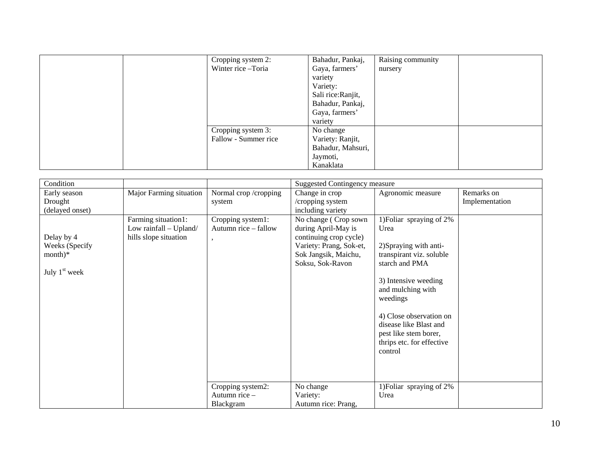| Cropping system 2:<br>Winter rice-Toria | Bahadur, Pankaj,<br>Gaya, farmers' | Raising community<br>nursery |
|-----------------------------------------|------------------------------------|------------------------------|
|                                         | variety                            |                              |
|                                         | Variety:                           |                              |
|                                         | Sali rice: Ranjit,                 |                              |
|                                         | Bahadur, Pankaj,                   |                              |
|                                         | Gaya, farmers'                     |                              |
|                                         | variety                            |                              |
| Cropping system 3:                      | No change                          |                              |
| Fallow - Summer rice                    | Variety: Ranjit,                   |                              |
|                                         | Bahadur, Mahsuri,                  |                              |
|                                         | Jaymoti,                           |                              |
|                                         | Kanaklata                          |                              |

| Condition                    |                         |                       | <b>Suggested Contingency measure</b>              |                                      |                |
|------------------------------|-------------------------|-----------------------|---------------------------------------------------|--------------------------------------|----------------|
| Early season                 | Major Farming situation | Normal crop /cropping | Change in crop                                    | Agronomic measure                    | Remarks on     |
| Drought                      |                         | system                | /cropping system                                  |                                      | Implementation |
| (delayed onset)              |                         |                       | including variety                                 |                                      |                |
|                              | Farming situation1:     | Cropping system1:     | No change (Crop sown                              | 1) Foliar spraying of 2%             |                |
|                              | Low rainfall - Upland/  | Autumn rice - fallow  | during April-May is                               | Urea                                 |                |
| Delay by 4<br>Weeks (Specify | hills slope situation   |                       | continuing crop cycle)<br>Variety: Prang, Sok-et, | 2) Spraying with anti-               |                |
| $month)*$                    |                         |                       | Sok Jangsik, Maichu,                              | transpirant viz. soluble             |                |
|                              |                         |                       | Soksu, Sok-Ravon                                  | starch and PMA                       |                |
| July $1st$ week              |                         |                       |                                                   |                                      |                |
|                              |                         |                       |                                                   | 3) Intensive weeding                 |                |
|                              |                         |                       |                                                   | and mulching with                    |                |
|                              |                         |                       |                                                   | weedings                             |                |
|                              |                         |                       |                                                   |                                      |                |
|                              |                         |                       |                                                   | 4) Close observation on              |                |
|                              |                         |                       |                                                   | disease like Blast and               |                |
|                              |                         |                       |                                                   | pest like stem borer,                |                |
|                              |                         |                       |                                                   | thrips etc. for effective<br>control |                |
|                              |                         |                       |                                                   |                                      |                |
|                              |                         |                       |                                                   |                                      |                |
|                              |                         |                       |                                                   |                                      |                |
|                              |                         | Cropping system2:     | No change                                         | 1) Foliar spraying of 2%             |                |
|                              |                         | Autumn rice -         | Variety:                                          | Urea                                 |                |
|                              |                         | Blackgram             | Autumn rice: Prang,                               |                                      |                |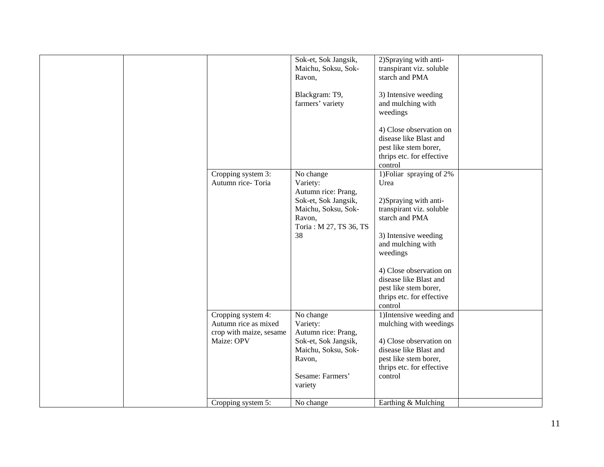|  |                                                                                     |                                                                                                                                      | Sok-et, Sok Jangsik,<br>Maichu, Soksu, Sok-<br>Ravon,                                                                                                                    | 2) Spraying with anti-<br>transpirant viz. soluble<br>starch and PMA                                                                                              |  |
|--|-------------------------------------------------------------------------------------|--------------------------------------------------------------------------------------------------------------------------------------|--------------------------------------------------------------------------------------------------------------------------------------------------------------------------|-------------------------------------------------------------------------------------------------------------------------------------------------------------------|--|
|  |                                                                                     |                                                                                                                                      | Blackgram: T9,<br>farmers' variety                                                                                                                                       | 3) Intensive weeding<br>and mulching with<br>weedings                                                                                                             |  |
|  |                                                                                     |                                                                                                                                      |                                                                                                                                                                          | 4) Close observation on<br>disease like Blast and<br>pest like stem borer,<br>thrips etc. for effective<br>control                                                |  |
|  |                                                                                     | Cropping system 3:<br>Autumn rice-Toria                                                                                              | No change<br>Variety:<br>Autumn rice: Prang,<br>Sok-et, Sok Jangsik,<br>Maichu, Soksu, Sok-<br>Ravon,<br>Toria: M 27, TS 36, TS<br>38                                    | 1) Foliar spraying of 2%<br>Urea<br>2) Spraying with anti-<br>transpirant viz. soluble<br>starch and PMA<br>3) Intensive weeding<br>and mulching with<br>weedings |  |
|  |                                                                                     |                                                                                                                                      | 4) Close observation on<br>disease like Blast and<br>pest like stem borer,<br>thrips etc. for effective<br>control                                                       |                                                                                                                                                                   |  |
|  | Cropping system 4:<br>Autumn rice as mixed<br>crop with maize, sesame<br>Maize: OPV | No change<br>Variety:<br>Autumn rice: Prang,<br>Sok-et, Sok Jangsik,<br>Maichu, Soksu, Sok-<br>Ravon,<br>Sesame: Farmers'<br>variety | 1) Intensive weeding and<br>mulching with weedings<br>4) Close observation on<br>disease like Blast and<br>pest like stem borer,<br>thrips etc. for effective<br>control |                                                                                                                                                                   |  |
|  |                                                                                     | Cropping system 5:                                                                                                                   | No change                                                                                                                                                                | Earthing & Mulching                                                                                                                                               |  |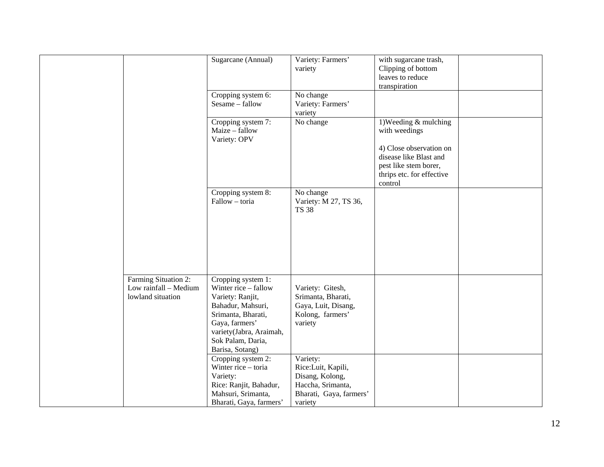|                                                                    | Sugarcane (Annual)                                                                                                                                                                             | Variety: Farmers'<br>variety                                                                                 | with sugarcane trash,<br>Clipping of bottom<br>leaves to reduce<br>transpiration                                   |  |
|--------------------------------------------------------------------|------------------------------------------------------------------------------------------------------------------------------------------------------------------------------------------------|--------------------------------------------------------------------------------------------------------------|--------------------------------------------------------------------------------------------------------------------|--|
|                                                                    | Cropping system 6:<br>Sesame - fallow                                                                                                                                                          | No change<br>Variety: Farmers'<br>variety                                                                    |                                                                                                                    |  |
|                                                                    | Cropping system 7:<br>Maize - fallow<br>Variety: OPV                                                                                                                                           | No change                                                                                                    | 1) Weeding $&$ mulching<br>with weedings                                                                           |  |
|                                                                    |                                                                                                                                                                                                |                                                                                                              | 4) Close observation on<br>disease like Blast and<br>pest like stem borer,<br>thrips etc. for effective<br>control |  |
|                                                                    | Cropping system 8:<br>Fallow - toria                                                                                                                                                           | No change<br>Variety: M 27, TS 36,<br><b>TS 38</b>                                                           |                                                                                                                    |  |
|                                                                    |                                                                                                                                                                                                |                                                                                                              |                                                                                                                    |  |
| Farming Situation 2:<br>Low rainfall - Medium<br>lowland situation | Cropping system 1:<br>Winter rice - fallow<br>Variety: Ranjit,<br>Bahadur, Mahsuri,<br>Srimanta, Bharati,<br>Gaya, farmers'<br>variety(Jabra, Araimah,<br>Sok Palam, Daria,<br>Barisa, Sotang) | Variety: Gitesh,<br>Srimanta, Bharati,<br>Gaya, Luit, Disang,<br>Kolong, farmers'<br>variety                 |                                                                                                                    |  |
|                                                                    | Cropping system 2:<br>Winter rice - toria<br>Variety:<br>Rice: Ranjit, Bahadur,<br>Mahsuri, Srimanta,<br>Bharati, Gaya, farmers'                                                               | Variety:<br>Rice:Luit, Kapili,<br>Disang, Kolong,<br>Haccha, Srimanta,<br>Bharati, Gaya, farmers'<br>variety |                                                                                                                    |  |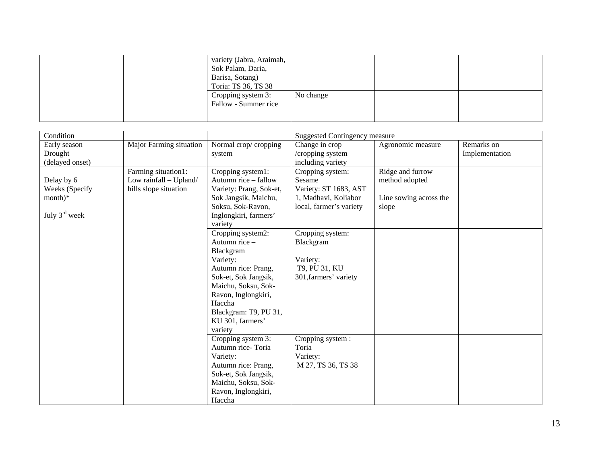|  | variety (Jabra, Araimah,<br>Sok Palam, Daria,<br>Barisa, Sotang)<br>Toria: TS 36, TS 38 |           |  |
|--|-----------------------------------------------------------------------------------------|-----------|--|
|  | Cropping system 3:<br>Fallow - Summer rice                                              | No change |  |

| Condition                 |                         |                         | <b>Suggested Contingency measure</b> |                        |                |  |
|---------------------------|-------------------------|-------------------------|--------------------------------------|------------------------|----------------|--|
| Early season              | Major Farming situation | Normal crop/cropping    | Change in crop                       | Agronomic measure      | Remarks on     |  |
| Drought                   |                         | system                  | /cropping system                     |                        | Implementation |  |
| (delayed onset)           |                         |                         | including variety                    |                        |                |  |
|                           | Farming situation1:     | Cropping system1:       | Cropping system:                     | Ridge and furrow       |                |  |
| Delay by 6                | Low rainfall - Upland/  | Autumn rice – fallow    | Sesame                               | method adopted         |                |  |
| Weeks (Specify            | hills slope situation   | Variety: Prang, Sok-et, | Variety: ST 1683, AST                |                        |                |  |
| $month)*$                 |                         | Sok Jangsik, Maichu,    | 1, Madhavi, Koliabor                 | Line sowing across the |                |  |
|                           |                         | Soksu, Sok-Ravon,       | local, farmer's variety              | slope                  |                |  |
| July $3^{\text{rd}}$ week |                         | Inglongkiri, farmers'   |                                      |                        |                |  |
|                           |                         | variety                 |                                      |                        |                |  |
|                           |                         | Cropping system2:       | Cropping system:                     |                        |                |  |
|                           |                         | Autumn rice -           | Blackgram                            |                        |                |  |
|                           |                         | Blackgram               |                                      |                        |                |  |
|                           |                         | Variety:                | Variety:                             |                        |                |  |
|                           |                         | Autumn rice: Prang,     | T9, PU 31, KU                        |                        |                |  |
|                           |                         | Sok-et, Sok Jangsik,    | 301, farmers' variety                |                        |                |  |
|                           |                         | Maichu, Soksu, Sok-     |                                      |                        |                |  |
|                           |                         | Ravon, Inglongkiri,     |                                      |                        |                |  |
|                           |                         | Haccha                  |                                      |                        |                |  |
|                           |                         | Blackgram: T9, PU 31,   |                                      |                        |                |  |
|                           |                         | KU 301, farmers'        |                                      |                        |                |  |
|                           |                         | variety                 |                                      |                        |                |  |
|                           |                         | Cropping system 3:      | Cropping system :                    |                        |                |  |
|                           |                         | Autumn rice-Toria       | Toria                                |                        |                |  |
|                           |                         | Variety:                | Variety:                             |                        |                |  |
|                           |                         | Autumn rice: Prang,     | M 27, TS 36, TS 38                   |                        |                |  |
|                           |                         | Sok-et, Sok Jangsik,    |                                      |                        |                |  |
|                           |                         | Maichu, Soksu, Sok-     |                                      |                        |                |  |
|                           |                         | Ravon, Inglongkiri,     |                                      |                        |                |  |
|                           |                         | Haccha                  |                                      |                        |                |  |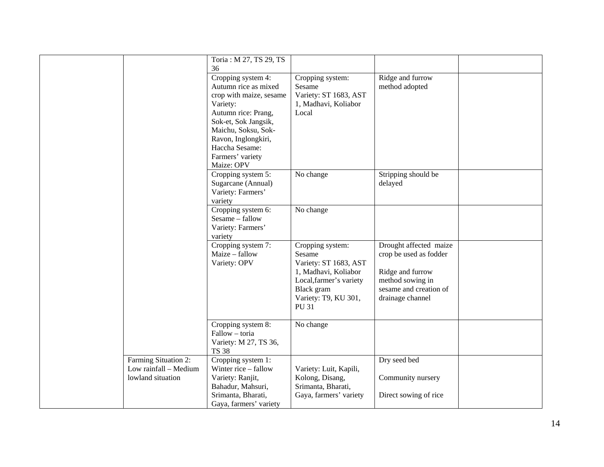|                                                                    | Toria: M 27, TS 29, TS<br>36                                                                                                                                                                                         |                                                                                                                                                              |                                                                                                                                        |  |
|--------------------------------------------------------------------|----------------------------------------------------------------------------------------------------------------------------------------------------------------------------------------------------------------------|--------------------------------------------------------------------------------------------------------------------------------------------------------------|----------------------------------------------------------------------------------------------------------------------------------------|--|
|                                                                    | Cropping system 4:<br>Autumn rice as mixed<br>crop with maize, sesame<br>Variety:<br>Autumn rice: Prang,<br>Sok-et, Sok Jangsik,<br>Maichu, Soksu, Sok-<br>Ravon, Inglongkiri,<br>Haccha Sesame:<br>Farmers' variety | Cropping system:<br>Sesame<br>Variety: ST 1683, AST<br>1, Madhavi, Koliabor<br>Local                                                                         | Ridge and furrow<br>method adopted                                                                                                     |  |
|                                                                    | Maize: OPV<br>Cropping system 5:<br>Sugarcane (Annual)<br>Variety: Farmers'<br>variety                                                                                                                               | No change                                                                                                                                                    | Stripping should be<br>delayed                                                                                                         |  |
|                                                                    | Cropping system 6:<br>Sesame - fallow<br>Variety: Farmers'<br>variety                                                                                                                                                | No change                                                                                                                                                    |                                                                                                                                        |  |
|                                                                    | Cropping system 7:<br>Maize - fallow<br>Variety: OPV                                                                                                                                                                 | Cropping system:<br>Sesame<br>Variety: ST 1683, AST<br>1, Madhavi, Koliabor<br>Local, farmer's variety<br>Black gram<br>Variety: T9, KU 301,<br><b>PU 31</b> | Drought affected maize<br>crop be used as fodder<br>Ridge and furrow<br>method sowing in<br>sesame and creation of<br>drainage channel |  |
|                                                                    | Cropping system 8:<br>Fallow - toria<br>Variety: M 27, TS 36,<br><b>TS 38</b>                                                                                                                                        | No change                                                                                                                                                    |                                                                                                                                        |  |
| Farming Situation 2:<br>Low rainfall - Medium<br>lowland situation | Cropping system 1:<br>Winter rice – fallow<br>Variety: Ranjit,<br>Bahadur, Mahsuri,<br>Srimanta, Bharati,<br>Gaya, farmers' variety                                                                                  | Variety: Luit, Kapili,<br>Kolong, Disang,<br>Srimanta, Bharati,<br>Gaya, farmers' variety                                                                    | Dry seed bed<br>Community nursery<br>Direct sowing of rice                                                                             |  |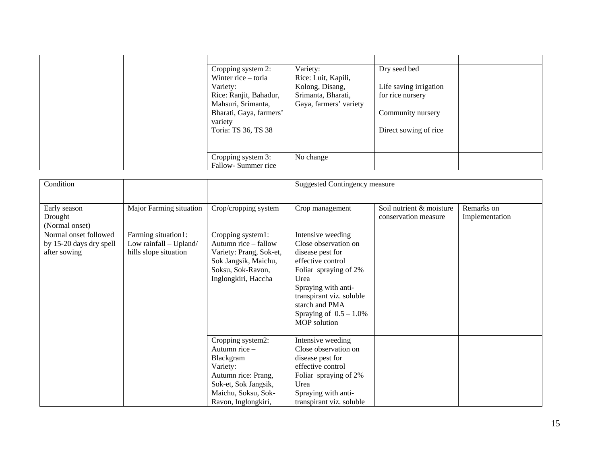| Cropping system 2:<br>Winter rice – toria<br>Variety:<br>Rice: Ranjit, Bahadur,<br>Mahsuri, Srimanta,<br>Bharati, Gaya, farmers'<br>variety<br>Toria: TS 36, TS 38 | Variety:<br>Rice: Luit, Kapili,<br>Kolong, Disang,<br>Srimanta, Bharati,<br>Gaya, farmers' variety | Dry seed bed<br>Life saving irrigation<br>for rice nursery<br>Community nursery<br>Direct sowing of rice |  |
|--------------------------------------------------------------------------------------------------------------------------------------------------------------------|----------------------------------------------------------------------------------------------------|----------------------------------------------------------------------------------------------------------|--|
| Cropping system 3:<br>Fallow-Summer rice                                                                                                                           | No change                                                                                          |                                                                                                          |  |

| Condition                                                        |                                                                        |                                                                                                                                                            | <b>Suggested Contingency measure</b>                                                                                                                                                                                                  |                                                  |                              |
|------------------------------------------------------------------|------------------------------------------------------------------------|------------------------------------------------------------------------------------------------------------------------------------------------------------|---------------------------------------------------------------------------------------------------------------------------------------------------------------------------------------------------------------------------------------|--------------------------------------------------|------------------------------|
| Early season<br>Drought<br>(Normal onset)                        | Major Farming situation                                                | Crop/cropping system                                                                                                                                       | Crop management                                                                                                                                                                                                                       | Soil nutrient & moisture<br>conservation measure | Remarks on<br>Implementation |
| Normal onset followed<br>by 15-20 days dry spell<br>after sowing | Farming situation1:<br>Low rainfall - Upland/<br>hills slope situation | Cropping system1:<br>Autumn rice – fallow<br>Variety: Prang, Sok-et,<br>Sok Jangsik, Maichu,<br>Soksu, Sok-Ravon,<br>Inglongkiri, Haccha                   | Intensive weeding<br>Close observation on<br>disease pest for<br>effective control<br>Foliar spraying of 2%<br>Urea<br>Spraying with anti-<br>transpirant viz. soluble<br>starch and PMA<br>Spraying of $0.5 - 1.0\%$<br>MOP solution |                                                  |                              |
|                                                                  |                                                                        | Cropping system2:<br>Autumn rice $-$<br>Blackgram<br>Variety:<br>Autumn rice: Prang,<br>Sok-et, Sok Jangsik,<br>Maichu, Soksu, Sok-<br>Ravon, Inglongkiri, | Intensive weeding<br>Close observation on<br>disease pest for<br>effective control<br>Foliar spraying of 2%<br>Urea<br>Spraying with anti-<br>transpirant viz. soluble                                                                |                                                  |                              |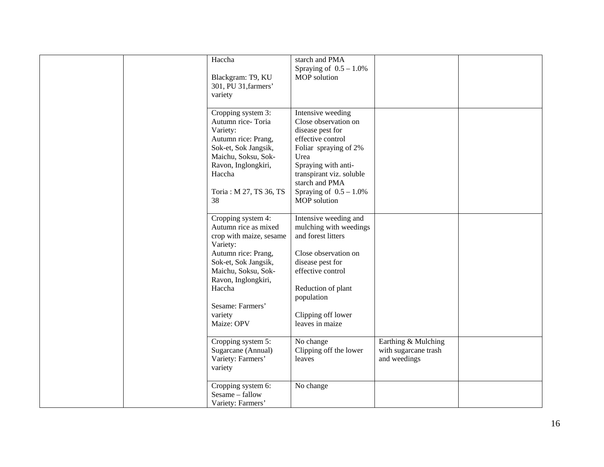| Haccha<br>Blackgram: T9, KU<br>301, PU 31, farmers'<br>variety                                                                                                                                                                        | starch and PMA<br>Spraying of $0.5 - 1.0\%$<br>MOP solution                                                                                                                                                                                  |                                                             |  |
|---------------------------------------------------------------------------------------------------------------------------------------------------------------------------------------------------------------------------------------|----------------------------------------------------------------------------------------------------------------------------------------------------------------------------------------------------------------------------------------------|-------------------------------------------------------------|--|
| Cropping system 3:<br>Autumn rice-Toria<br>Variety:<br>Autumn rice: Prang,<br>Sok-et, Sok Jangsik,<br>Maichu, Soksu, Sok-<br>Ravon, Inglongkiri,<br>Haccha<br>Toria: M 27, TS 36, TS<br>38                                            | Intensive weeding<br>Close observation on<br>disease pest for<br>effective control<br>Foliar spraying of 2%<br>Urea<br>Spraying with anti-<br>transpirant viz. soluble<br>starch and PMA<br>Spraying of $0.5 - 1.0\%$<br><b>MOP</b> solution |                                                             |  |
| Cropping system 4:<br>Autumn rice as mixed<br>crop with maize, sesame<br>Variety:<br>Autumn rice: Prang,<br>Sok-et, Sok Jangsik,<br>Maichu, Soksu, Sok-<br>Ravon, Inglongkiri,<br>Haccha<br>Sesame: Farmers'<br>variety<br>Maize: OPV | Intensive weeding and<br>mulching with weedings<br>and forest litters<br>Close observation on<br>disease pest for<br>effective control<br>Reduction of plant<br>population<br>Clipping off lower<br>leaves in maize                          |                                                             |  |
| Cropping system 5:<br>Sugarcane (Annual)<br>Variety: Farmers'<br>variety                                                                                                                                                              | No change<br>Clipping off the lower<br>leaves                                                                                                                                                                                                | Earthing & Mulching<br>with sugarcane trash<br>and weedings |  |
| Cropping system 6:<br>Sesame - fallow<br>Variety: Farmers'                                                                                                                                                                            | No change                                                                                                                                                                                                                                    |                                                             |  |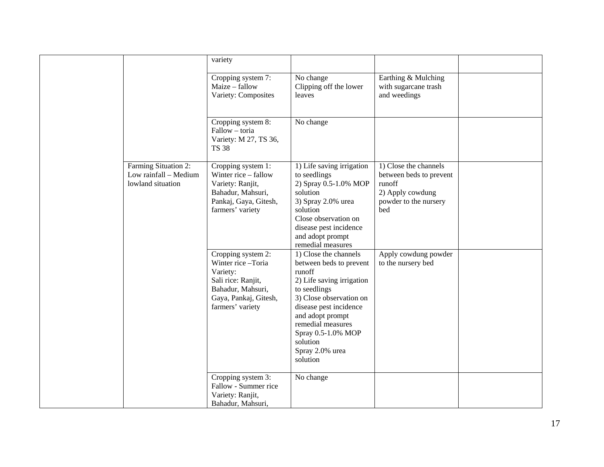|                                                                    | variety                                                                                                                                     |                                                                                                                                                                                                                                                                        |                                                                                                                |  |
|--------------------------------------------------------------------|---------------------------------------------------------------------------------------------------------------------------------------------|------------------------------------------------------------------------------------------------------------------------------------------------------------------------------------------------------------------------------------------------------------------------|----------------------------------------------------------------------------------------------------------------|--|
|                                                                    | Cropping system 7:<br>Maize - fallow<br>Variety: Composites                                                                                 | No change<br>Clipping off the lower<br>leaves                                                                                                                                                                                                                          | Earthing & Mulching<br>with sugarcane trash<br>and weedings                                                    |  |
|                                                                    | Cropping system 8:<br>Fallow - toria<br>Variety: M 27, TS 36,<br><b>TS 38</b>                                                               | No change                                                                                                                                                                                                                                                              |                                                                                                                |  |
| Farming Situation 2:<br>Low rainfall - Medium<br>lowland situation | Cropping system 1:<br>Winter rice – fallow<br>Variety: Ranjit,<br>Bahadur, Mahsuri,<br>Pankaj, Gaya, Gitesh,<br>farmers' variety            | 1) Life saving irrigation<br>to seedlings<br>2) Spray 0.5-1.0% MOP<br>solution<br>3) Spray 2.0% urea<br>solution<br>Close observation on<br>disease pest incidence<br>and adopt prompt<br>remedial measures                                                            | 1) Close the channels<br>between beds to prevent<br>runoff<br>2) Apply cowdung<br>powder to the nursery<br>bed |  |
|                                                                    | Cropping system 2:<br>Winter rice-Toria<br>Variety:<br>Sali rice: Ranjit,<br>Bahadur, Mahsuri,<br>Gaya, Pankaj, Gitesh,<br>farmers' variety | 1) Close the channels<br>between beds to prevent<br>runoff<br>2) Life saving irrigation<br>to seedlings<br>3) Close observation on<br>disease pest incidence<br>and adopt prompt<br>remedial measures<br>Spray 0.5-1.0% MOP<br>solution<br>Spray 2.0% urea<br>solution | Apply cowdung powder<br>to the nursery bed                                                                     |  |
|                                                                    | Cropping system 3:<br>Fallow - Summer rice<br>Variety: Ranjit,<br>Bahadur, Mahsuri,                                                         | No change                                                                                                                                                                                                                                                              |                                                                                                                |  |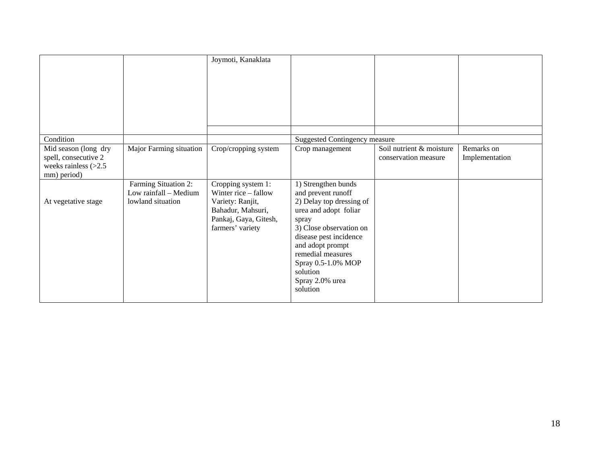|                                                                                       |                                                                    | Joymoti, Kanaklata                                                                                                               |                                                                                                                                                                                                                                                                        |                                                  |                              |
|---------------------------------------------------------------------------------------|--------------------------------------------------------------------|----------------------------------------------------------------------------------------------------------------------------------|------------------------------------------------------------------------------------------------------------------------------------------------------------------------------------------------------------------------------------------------------------------------|--------------------------------------------------|------------------------------|
|                                                                                       |                                                                    |                                                                                                                                  |                                                                                                                                                                                                                                                                        |                                                  |                              |
| Condition                                                                             |                                                                    |                                                                                                                                  | <b>Suggested Contingency measure</b>                                                                                                                                                                                                                                   |                                                  |                              |
| Mid season (long dry<br>spell, consecutive 2<br>weeks rainless $(>2.5$<br>mm) period) | Major Farming situation                                            | Crop/cropping system                                                                                                             | Crop management                                                                                                                                                                                                                                                        | Soil nutrient & moisture<br>conservation measure | Remarks on<br>Implementation |
| At vegetative stage                                                                   | Farming Situation 2:<br>Low rainfall - Medium<br>lowland situation | Cropping system 1:<br>Winter rice – fallow<br>Variety: Ranjit,<br>Bahadur, Mahsuri,<br>Pankaj, Gaya, Gitesh,<br>farmers' variety | 1) Strengthen bunds<br>and prevent runoff<br>2) Delay top dressing of<br>urea and adopt foliar<br>spray<br>3) Close observation on<br>disease pest incidence<br>and adopt prompt<br>remedial measures<br>Spray 0.5-1.0% MOP<br>solution<br>Spray 2.0% urea<br>solution |                                                  |                              |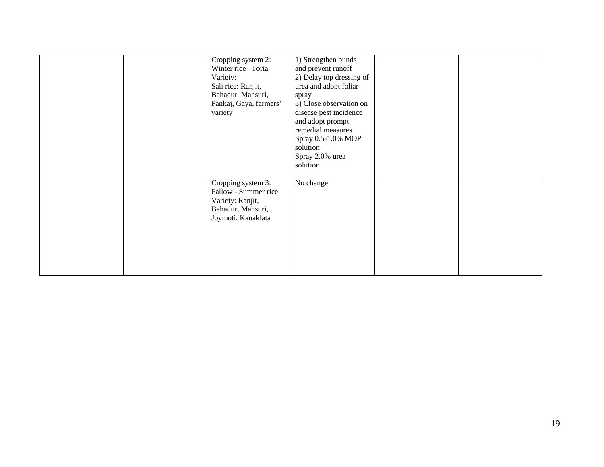| Cropping system 2:<br>Winter rice -Toria<br>Variety:<br>Sali rice: Ranjit,<br>Bahadur, Mahsuri,<br>Pankaj, Gaya, farmers'<br>variety | 1) Strengthen bunds<br>and prevent runoff<br>2) Delay top dressing of<br>urea and adopt foliar<br>spray<br>3) Close observation on<br>disease pest incidence<br>and adopt prompt<br>remedial measures<br>Spray 0.5-1.0% MOP<br>solution<br>Spray 2.0% urea<br>solution |  |
|--------------------------------------------------------------------------------------------------------------------------------------|------------------------------------------------------------------------------------------------------------------------------------------------------------------------------------------------------------------------------------------------------------------------|--|
| Cropping system 3:<br>Fallow - Summer rice<br>Variety: Ranjit,<br>Bahadur, Mahsuri,<br>Joymoti, Kanaklata                            | No change                                                                                                                                                                                                                                                              |  |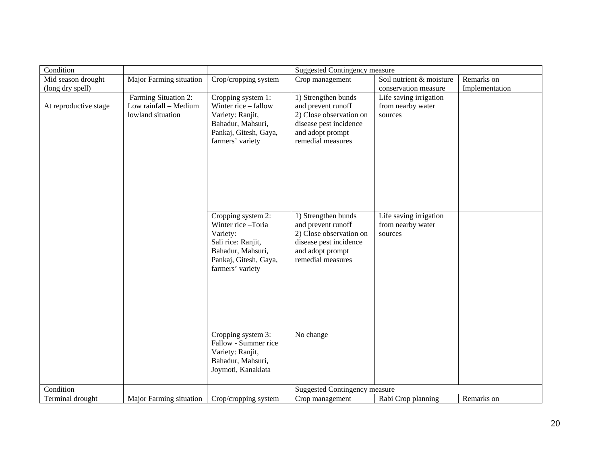| Condition             |                                |                                       | <b>Suggested Contingency measure</b> |                          |                |
|-----------------------|--------------------------------|---------------------------------------|--------------------------------------|--------------------------|----------------|
| Mid season drought    | Major Farming situation        | Crop/cropping system                  | Crop management                      | Soil nutrient & moisture | Remarks on     |
| (long dry spell)      |                                |                                       |                                      | conservation measure     | Implementation |
|                       | Farming Situation 2:           | Cropping system 1:                    | 1) Strengthen bunds                  | Life saving irrigation   |                |
| At reproductive stage | Low rainfall - Medium          | Winter rice - fallow                  | and prevent runoff                   | from nearby water        |                |
|                       | lowland situation              | Variety: Ranjit,                      | 2) Close observation on              | sources                  |                |
|                       |                                | Bahadur, Mahsuri,                     | disease pest incidence               |                          |                |
|                       |                                | Pankaj, Gitesh, Gaya,                 | and adopt prompt                     |                          |                |
|                       |                                | farmers' variety                      | remedial measures                    |                          |                |
|                       |                                |                                       |                                      |                          |                |
|                       |                                |                                       |                                      |                          |                |
|                       |                                |                                       |                                      |                          |                |
|                       |                                |                                       |                                      |                          |                |
|                       |                                |                                       |                                      |                          |                |
|                       |                                |                                       |                                      |                          |                |
|                       |                                | Cropping system 2:                    | 1) Strengthen bunds                  | Life saving irrigation   |                |
|                       |                                | Winter rice-Toria                     | and prevent runoff                   | from nearby water        |                |
|                       |                                | Variety:                              | 2) Close observation on              | sources                  |                |
|                       |                                | Sali rice: Ranjit,                    | disease pest incidence               |                          |                |
|                       |                                | Bahadur, Mahsuri,                     | and adopt prompt                     |                          |                |
|                       |                                | Pankaj, Gitesh, Gaya,                 | remedial measures                    |                          |                |
|                       |                                | farmers' variety                      |                                      |                          |                |
|                       |                                |                                       |                                      |                          |                |
|                       |                                |                                       |                                      |                          |                |
|                       |                                |                                       |                                      |                          |                |
|                       |                                |                                       |                                      |                          |                |
|                       |                                |                                       |                                      |                          |                |
|                       |                                |                                       |                                      |                          |                |
|                       |                                | Cropping system 3:                    | No change                            |                          |                |
|                       |                                | Fallow - Summer rice                  |                                      |                          |                |
|                       |                                | Variety: Ranjit,<br>Bahadur, Mahsuri, |                                      |                          |                |
|                       |                                | Joymoti, Kanaklata                    |                                      |                          |                |
|                       |                                |                                       |                                      |                          |                |
| Condition             |                                |                                       | <b>Suggested Contingency measure</b> |                          |                |
| Terminal drought      | <b>Major Farming situation</b> | Crop/cropping system                  | Crop management                      | Rabi Crop planning       | Remarks on     |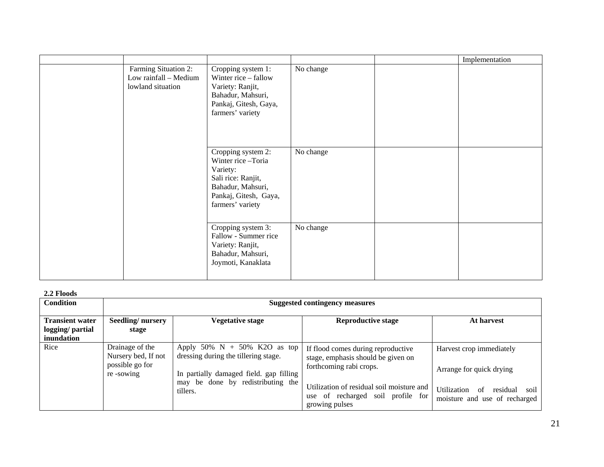|                                                                    |                                                                                                                                             |           | Implementation |
|--------------------------------------------------------------------|---------------------------------------------------------------------------------------------------------------------------------------------|-----------|----------------|
| Farming Situation 2:<br>Low rainfall - Medium<br>lowland situation | Cropping system 1:<br>Winter rice – fallow<br>Variety: Ranjit,<br>Bahadur, Mahsuri,<br>Pankaj, Gitesh, Gaya,<br>farmers' variety            | No change |                |
|                                                                    | Cropping system 2:<br>Winter rice-Toria<br>Variety:<br>Sali rice: Ranjit,<br>Bahadur, Mahsuri,<br>Pankaj, Gitesh, Gaya,<br>farmers' variety | No change |                |
|                                                                    | Cropping system 3:<br>Fallow - Summer rice<br>Variety: Ranjit,<br>Bahadur, Mahsuri,<br>Joymoti, Kanaklata                                   | No change |                |

#### **2.2 Floods**

| <b>Condition</b>                                         | <b>Suggested contingency measures</b>                                  |                                                                                                                                                        |                                                                                                     |                                                                        |  |  |
|----------------------------------------------------------|------------------------------------------------------------------------|--------------------------------------------------------------------------------------------------------------------------------------------------------|-----------------------------------------------------------------------------------------------------|------------------------------------------------------------------------|--|--|
| <b>Transient water</b><br>logging/ partial<br>inundation | Seedling/nursery<br>stage                                              | <b>Vegetative stage</b>                                                                                                                                | <b>Reproductive stage</b>                                                                           | At harvest                                                             |  |  |
| Rice                                                     | Drainage of the<br>Nursery bed, If not<br>possible go for<br>re-sowing | Apply 50% $N + 50%$ K2O as top<br>dressing during the tillering stage.<br>In partially damaged field, gap filling<br>may be done by redistributing the | If flood comes during reproductive<br>stage, emphasis should be given on<br>forthcoming rabi crops. | Harvest crop immediately<br>Arrange for quick drying                   |  |  |
|                                                          |                                                                        | tillers.                                                                                                                                               | Utilization of residual soil moisture and<br>use of recharged soil profile for<br>growing pulses    | residual<br>Utilization<br>of<br>soil<br>moisture and use of recharged |  |  |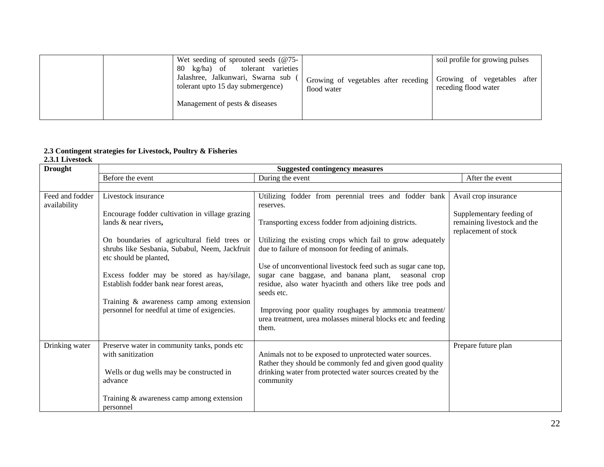|  | Wet seeding of sprouted seeds $(@75-$<br>tolerant varieties<br>kg/ha) of<br>80<br>Jalashree, Jalkunwari, Swarna sub<br>tolerant upto 15 day submergence) | Growing of vegetables after receding<br>flood water | soil profile for growing pulses<br>Growing of vegetables<br>after 1<br>receding flood water |
|--|----------------------------------------------------------------------------------------------------------------------------------------------------------|-----------------------------------------------------|---------------------------------------------------------------------------------------------|
|  | Management of pests & diseases                                                                                                                           |                                                     |                                                                                             |

#### **2.3 Contingent strategies for Livestock, Poultry & Fisheries**

#### **2.3.1 Livestock**

| <b>Drought</b>  |                                                                          | <b>Suggested contingency measures</b>                                                                                   |                             |
|-----------------|--------------------------------------------------------------------------|-------------------------------------------------------------------------------------------------------------------------|-----------------------------|
|                 | Before the event                                                         | During the event                                                                                                        | After the event             |
|                 |                                                                          |                                                                                                                         |                             |
| Feed and fodder | Livestock insurance                                                      | Utilizing fodder from perennial trees and fodder bank                                                                   | Avail crop insurance        |
| availability    |                                                                          | reserves.                                                                                                               |                             |
|                 | Encourage fodder cultivation in village grazing                          |                                                                                                                         | Supplementary feeding of    |
|                 | lands & near rivers,                                                     | Transporting excess fodder from adjoining districts.                                                                    | remaining livestock and the |
|                 |                                                                          |                                                                                                                         | replacement of stock        |
|                 | On boundaries of agricultural field trees or                             | Utilizing the existing crops which fail to grow adequately                                                              |                             |
|                 | shrubs like Sesbania, Subabul, Neem, Jackfruit<br>etc should be planted, | due to failure of monsoon for feeding of animals.                                                                       |                             |
|                 |                                                                          | Use of unconventional livestock feed such as sugar cane top,                                                            |                             |
|                 | Excess fodder may be stored as hay/silage,                               | sugar cane baggase, and banana plant, seasonal crop                                                                     |                             |
|                 | Establish fodder bank near forest areas.                                 | residue, also water hyacinth and others like tree pods and                                                              |                             |
|                 |                                                                          | seeds etc.                                                                                                              |                             |
|                 | Training & awareness camp among extension                                |                                                                                                                         |                             |
|                 | personnel for needful at time of exigencies.                             | Improving poor quality roughages by ammonia treatment/                                                                  |                             |
|                 |                                                                          | urea treatment, urea molasses mineral blocks etc and feeding                                                            |                             |
|                 |                                                                          | them.                                                                                                                   |                             |
|                 |                                                                          |                                                                                                                         |                             |
| Drinking water  | Preserve water in community tanks, ponds etc                             |                                                                                                                         | Prepare future plan         |
|                 | with sanitization                                                        | Animals not to be exposed to unprotected water sources.                                                                 |                             |
|                 |                                                                          | Rather they should be commonly fed and given good quality<br>drinking water from protected water sources created by the |                             |
|                 | Wells or dug wells may be constructed in<br>advance                      | community                                                                                                               |                             |
|                 |                                                                          |                                                                                                                         |                             |
|                 | Training $&$ awareness camp among extension                              |                                                                                                                         |                             |
|                 | personnel                                                                |                                                                                                                         |                             |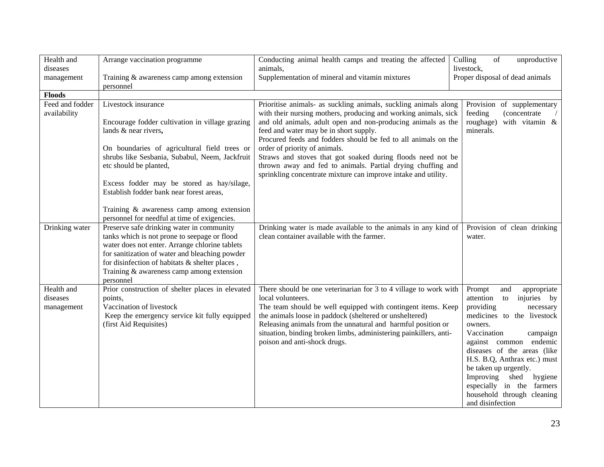| Health and<br>diseases          | Arrange vaccination programme                                                                                                                                                                                                                                                                             | Conducting animal health camps and treating the affected<br>animals,                                                                                                                                                                                                                                              | Culling<br>$% \left( \left( \mathcal{A},\mathcal{A}\right) \right) =\left( \mathcal{A},\mathcal{A}\right)$ of<br>unproductive<br>livestock,                                                                                                                                                                                                                      |
|---------------------------------|-----------------------------------------------------------------------------------------------------------------------------------------------------------------------------------------------------------------------------------------------------------------------------------------------------------|-------------------------------------------------------------------------------------------------------------------------------------------------------------------------------------------------------------------------------------------------------------------------------------------------------------------|------------------------------------------------------------------------------------------------------------------------------------------------------------------------------------------------------------------------------------------------------------------------------------------------------------------------------------------------------------------|
| management                      | Training & awareness camp among extension<br>personnel                                                                                                                                                                                                                                                    | Supplementation of mineral and vitamin mixtures                                                                                                                                                                                                                                                                   | Proper disposal of dead animals                                                                                                                                                                                                                                                                                                                                  |
| <b>Floods</b>                   |                                                                                                                                                                                                                                                                                                           |                                                                                                                                                                                                                                                                                                                   |                                                                                                                                                                                                                                                                                                                                                                  |
| Feed and fodder<br>availability | Livestock insurance                                                                                                                                                                                                                                                                                       | Prioritise animals- as suckling animals, suckling animals along<br>with their nursing mothers, producing and working animals, sick                                                                                                                                                                                | Provision of supplementary<br>feeding<br>(concentrate                                                                                                                                                                                                                                                                                                            |
|                                 | Encourage fodder cultivation in village grazing<br>lands & near rivers,                                                                                                                                                                                                                                   | and old animals, adult open and non-producing animals as the<br>feed and water may be in short supply.<br>Procured feeds and fodders should be fed to all animals on the                                                                                                                                          | roughage)<br>with vitamin &<br>minerals.                                                                                                                                                                                                                                                                                                                         |
|                                 | On boundaries of agricultural field trees or                                                                                                                                                                                                                                                              | order of priority of animals.                                                                                                                                                                                                                                                                                     |                                                                                                                                                                                                                                                                                                                                                                  |
|                                 | shrubs like Sesbania, Subabul, Neem, Jackfruit<br>etc should be planted,                                                                                                                                                                                                                                  | Straws and stoves that got soaked during floods need not be<br>thrown away and fed to animals. Partial drying chuffing and<br>sprinkling concentrate mixture can improve intake and utility.                                                                                                                      |                                                                                                                                                                                                                                                                                                                                                                  |
|                                 | Excess fodder may be stored as hay/silage,<br>Establish fodder bank near forest areas,                                                                                                                                                                                                                    |                                                                                                                                                                                                                                                                                                                   |                                                                                                                                                                                                                                                                                                                                                                  |
|                                 | Training & awareness camp among extension<br>personnel for needful at time of exigencies.                                                                                                                                                                                                                 |                                                                                                                                                                                                                                                                                                                   |                                                                                                                                                                                                                                                                                                                                                                  |
| Drinking water                  | Preserve safe drinking water in community<br>tanks which is not prone to seepage or flood<br>water does not enter. Arrange chlorine tablets<br>for sanitization of water and bleaching powder<br>for disinfection of habitats & shelter places,<br>Training & awareness camp among extension<br>personnel | Drinking water is made available to the animals in any kind of<br>clean container available with the farmer.                                                                                                                                                                                                      | Provision of clean drinking<br>water.                                                                                                                                                                                                                                                                                                                            |
| Health and                      | Prior construction of shelter places in elevated                                                                                                                                                                                                                                                          | There should be one veterinarian for 3 to 4 village to work with                                                                                                                                                                                                                                                  | Prompt<br>appropriate<br>and                                                                                                                                                                                                                                                                                                                                     |
| diseases<br>management          | points,<br>Vaccination of livestock<br>Keep the emergency service kit fully equipped<br>(first Aid Requisites)                                                                                                                                                                                            | local volunteers.<br>The team should be well equipped with contingent items. Keep<br>the animals loose in paddock (sheltered or unsheltered)<br>Releasing animals from the unnatural and harmful position or<br>situation, binding broken limbs, administering painkillers, anti-<br>poison and anti-shock drugs. | attention<br>injuries by<br>to<br>providing<br>necessary<br>medicines to the livestock<br>owners.<br>Vaccination<br>campaign<br>endemic<br>against common<br>diseases of the areas (like<br>H.S. B.Q, Anthrax etc.) must<br>be taken up urgently.<br>Improving<br>shed<br>hygiene<br>especially in the farmers<br>household through cleaning<br>and disinfection |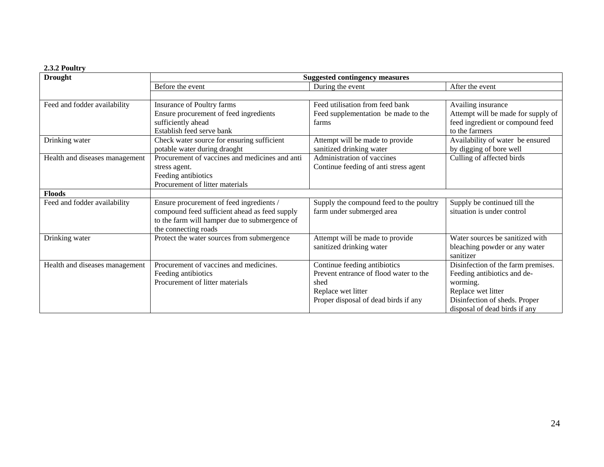### **2.3.2 Poultry**

| <b>Drought</b>                 |                                                | <b>Suggested contingency measures</b>   |                                    |
|--------------------------------|------------------------------------------------|-----------------------------------------|------------------------------------|
|                                | Before the event                               | During the event                        | After the event                    |
|                                |                                                |                                         |                                    |
| Feed and fodder availability   | Insurance of Poultry farms                     | Feed utilisation from feed bank         | Availing insurance                 |
|                                | Ensure procurement of feed ingredients         | Feed supplementation be made to the     | Attempt will be made for supply of |
|                                | sufficiently ahead                             | farms                                   | feed ingredient or compound feed   |
|                                | Establish feed serve bank                      |                                         | to the farmers                     |
| Drinking water                 | Check water source for ensuring sufficient     | Attempt will be made to provide         | Availability of water be ensured   |
|                                | potable water during draoght                   | sanitized drinking water                | by digging of bore well            |
| Health and diseases management | Procurement of vaccines and medicines and anti | Administration of vaccines              | Culling of affected birds          |
|                                | stress agent.                                  | Continue feeding of anti stress agent   |                                    |
|                                | Feeding antibiotics                            |                                         |                                    |
|                                | Procurement of litter materials                |                                         |                                    |
| <b>Floods</b>                  |                                                |                                         |                                    |
| Feed and fodder availability   | Ensure procurement of feed ingredients /       | Supply the compound feed to the poultry | Supply be continued till the       |
|                                | compound feed sufficient ahead as feed supply  | farm under submerged area               | situation is under control         |
|                                | to the farm will hamper due to submergence of  |                                         |                                    |
|                                | the connecting roads                           |                                         |                                    |
| Drinking water                 | Protect the water sources from submergence     | Attempt will be made to provide         | Water sources be sanitized with    |
|                                |                                                | sanitized drinking water                | bleaching powder or any water      |
|                                |                                                |                                         | sanitizer                          |
| Health and diseases management | Procurement of vaccines and medicines.         | Continue feeding antibiotics            | Disinfection of the farm premises. |
|                                | Feeding antibiotics                            | Prevent entrance of flood water to the  | Feeding antibiotics and de-        |
|                                | Procurement of litter materials                | shed                                    | worming.                           |
|                                |                                                | Replace wet litter                      | Replace wet litter                 |
|                                |                                                | Proper disposal of dead birds if any    | Disinfection of sheds. Proper      |
|                                |                                                |                                         | disposal of dead birds if any      |